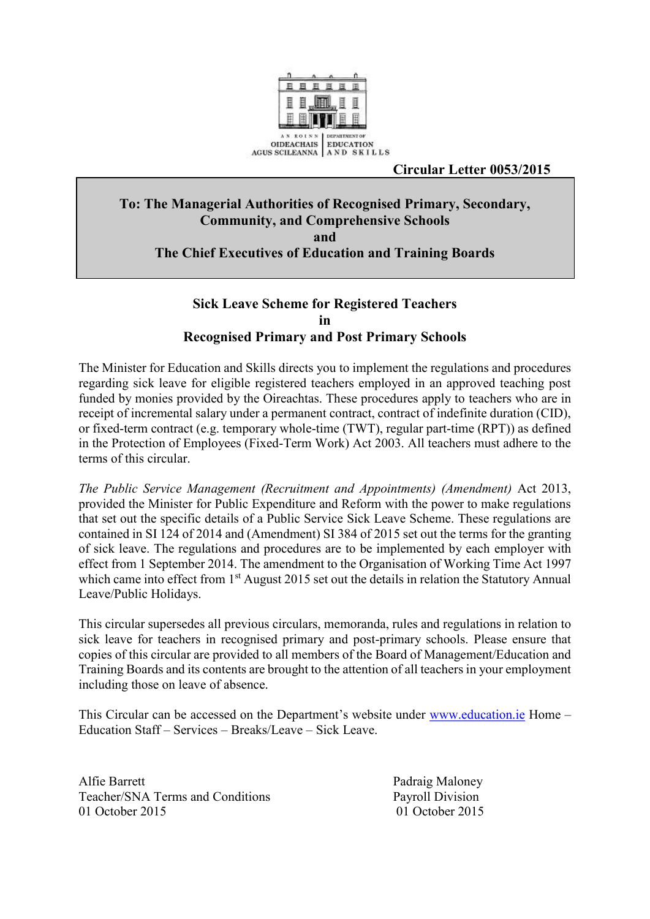

## **Circular Letter 0053/2015**

# **To: The Managerial Authorities of Recognised Primary, Secondary, Community, and Comprehensive Schools and The Chief Executives of Education and Training Boards**

# **Sick Leave Scheme for Registered Teachers in Recognised Primary and Post Primary Schools**

The Minister for Education and Skills directs you to implement the regulations and procedures regarding sick leave for eligible registered teachers employed in an approved teaching post funded by monies provided by the Oireachtas. These procedures apply to teachers who are in receipt of incremental salary under a permanent contract, contract of indefinite duration (CID), or fixed-term contract (e.g. temporary whole-time (TWT), regular part-time (RPT)) as defined in the Protection of Employees (Fixed-Term Work) Act 2003. All teachers must adhere to the terms of this circular.

*The Public Service Management (Recruitment and Appointments) (Amendment)* Act 2013, provided the Minister for Public Expenditure and Reform with the power to make regulations that set out the specific details of a Public Service Sick Leave Scheme. These regulations are contained in SI 124 of 2014 and (Amendment) SI 384 of 2015 set out the terms for the granting of sick leave. The regulations and procedures are to be implemented by each employer with effect from 1 September 2014. The amendment to the Organisation of Working Time Act 1997 which came into effect from 1<sup>st</sup> August 2015 set out the details in relation the Statutory Annual Leave/Public Holidays.

This circular supersedes all previous circulars, memoranda, rules and regulations in relation to sick leave for teachers in recognised primary and post-primary schools. Please ensure that copies of this circular are provided to all members of the Board of Management/Education and Training Boards and its contents are brought to the attention of all teachers in your employment including those on leave of absence.

This Circular can be accessed on the Department's website under [www.education.ie](http://www.education.ie/) Home – Education Staff – Services – Breaks/Leave – Sick Leave.

Alfie Barrett Padraig Maloney Teacher/SNA Terms and Conditions Payroll Division 01 October 2015 01 October 2015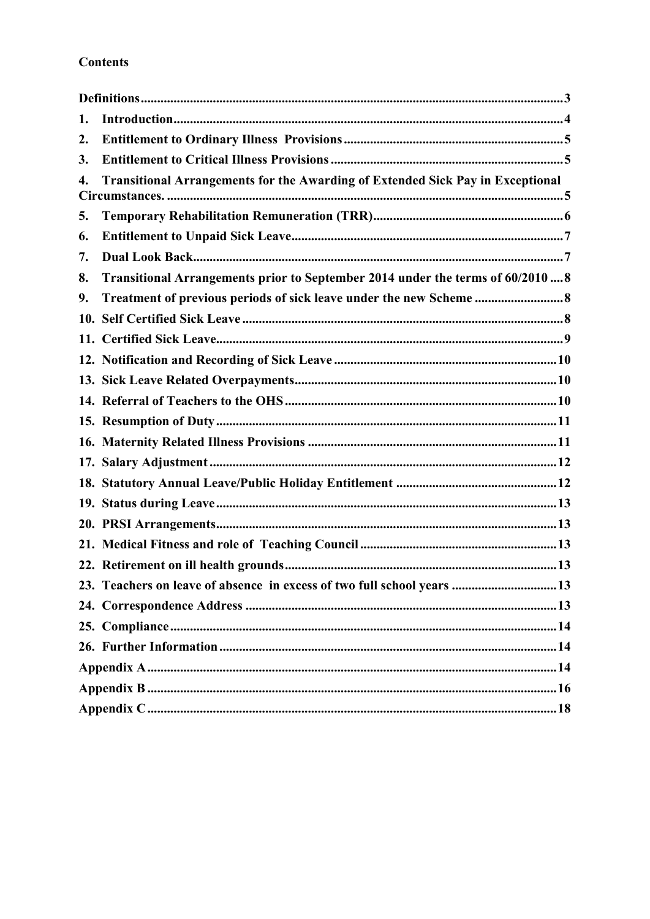# **Contents**

| 1. |                                                                                       |
|----|---------------------------------------------------------------------------------------|
| 2. |                                                                                       |
| 3. |                                                                                       |
| 4. | <b>Transitional Arrangements for the Awarding of Extended Sick Pay in Exceptional</b> |
| 5. |                                                                                       |
| 6. |                                                                                       |
| 7. |                                                                                       |
| 8. | Transitional Arrangements prior to September 2014 under the terms of 60/2010  8       |
| 9. |                                                                                       |
|    |                                                                                       |
|    |                                                                                       |
|    |                                                                                       |
|    |                                                                                       |
|    |                                                                                       |
|    |                                                                                       |
|    |                                                                                       |
|    |                                                                                       |
|    |                                                                                       |
|    |                                                                                       |
|    |                                                                                       |
|    |                                                                                       |
|    |                                                                                       |
|    | 23. Teachers on leave of absence in excess of two full school years 13                |
|    |                                                                                       |
|    |                                                                                       |
|    |                                                                                       |
|    |                                                                                       |
|    |                                                                                       |
|    |                                                                                       |
|    |                                                                                       |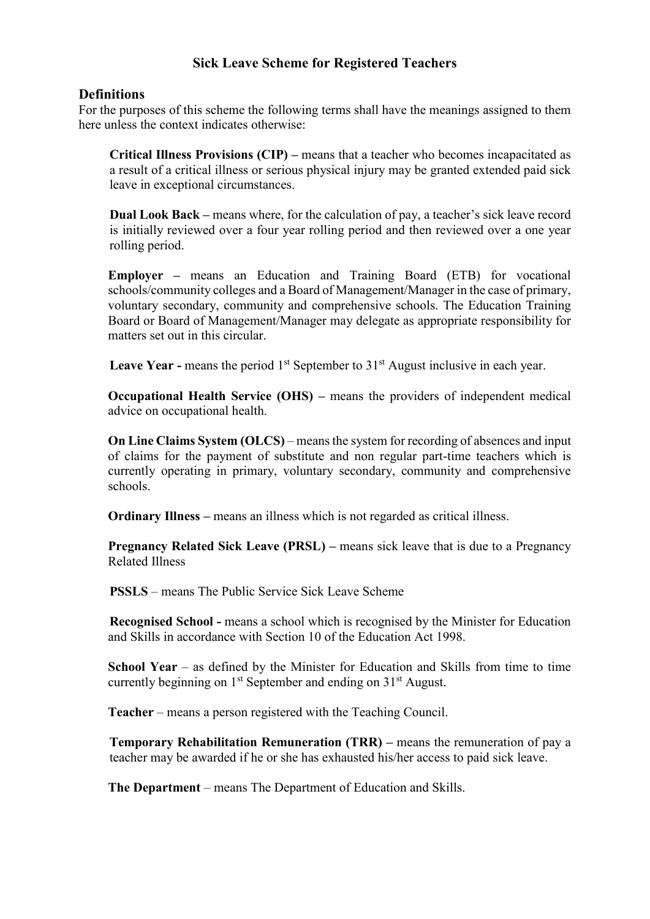## **Sick Leave Scheme for Registered Teachers**

#### <span id="page-2-0"></span>**Definitions**

For the purposes of this scheme the following terms shall have the meanings assigned to them here unless the context indicates otherwise:

**Critical Illness Provisions (CIP) –** means that a teacher who becomes incapacitated as a result of a critical illness or serious physical injury may be granted extended paid sick leave in exceptional circumstances.

**Dual Look Back –** means where, for the calculation of pay, a teacher's sick leave record is initially reviewed over a four year rolling period and then reviewed over a one year rolling period.

**Employer –** means an Education and Training Board (ETB) for vocational schools/community colleges and a Board of Management/Manager in the case of primary, voluntary secondary, community and comprehensive schools. The Education Training Board or Board of Management/Manager may delegate as appropriate responsibility for matters set out in this circular.

**Leave Year -** means the period 1<sup>st</sup> September to 31<sup>st</sup> August inclusive in each year.

**Occupational Health Service (OHS) – means the providers of independent medical** advice on occupational health.

**On Line Claims System (OLCS)** – means the system for recording of absences and input of claims for the payment of substitute and non regular part-time teachers which is currently operating in primary, voluntary secondary, community and comprehensive schools.

**Ordinary Illness** – means an illness which is not regarded as critical illness.

**Pregnancy Related Sick Leave (PRSL) –** means sick leave that is due to a Pregnancy Related Illness

**PSSLS** – means The Public Service Sick Leave Scheme

**Recognised School -** means a school which is recognised by the Minister for Education and Skills in accordance with Section 10 of the Education Act 1998.

**School Year** – as defined by the Minister for Education and Skills from time to time currently beginning on 1<sup>st</sup> September and ending on 31<sup>st</sup> August.

**Teacher** – means a person registered with the Teaching Council.

**Temporary Rehabilitation Remuneration (TRR) – means the remuneration of pay a** teacher may be awarded if he or she has exhausted his/her access to paid sick leave.

**The Department** – means The Department of Education and Skills.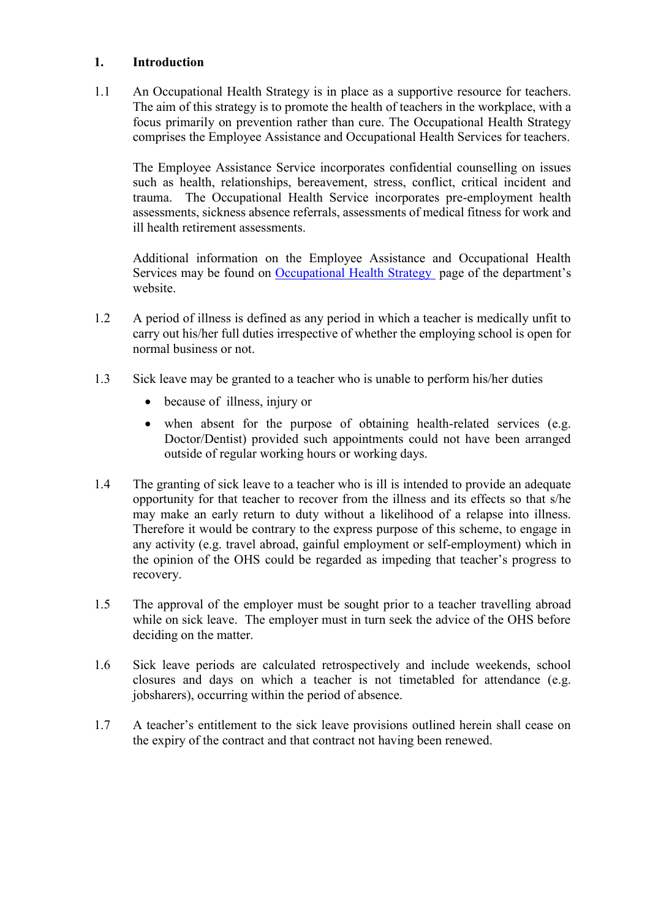#### <span id="page-3-0"></span>**1. Introduction**

1.1 An Occupational Health Strategy is in place as a supportive resource for teachers. The aim of this strategy is to promote the health of teachers in the workplace, with a focus primarily on prevention rather than cure. The Occupational Health Strategy comprises the Employee Assistance and Occupational Health Services for teachers.

The Employee Assistance Service incorporates confidential counselling on issues such as health, relationships, bereavement, stress, conflict, critical incident and trauma. The Occupational Health Service incorporates pre-employment health assessments, sickness absence referrals, assessments of medical fitness for work and ill health retirement assessments.

Additional information on the Employee Assistance and Occupational Health Services may be found on [Occupational Health Strategy](http://www.education.ie/en/Education-Staff/Information/Occupational-Health-Strategy/) page of the department's website

- 1.2 A period of illness is defined as any period in which a teacher is medically unfit to carry out his/her full duties irrespective of whether the employing school is open for normal business or not.
- 1.3 Sick leave may be granted to a teacher who is unable to perform his/her duties
	- because of illness, injury or
	- when absent for the purpose of obtaining health-related services (e.g. Doctor/Dentist) provided such appointments could not have been arranged outside of regular working hours or working days.
- 1.4 The granting of sick leave to a teacher who is ill is intended to provide an adequate opportunity for that teacher to recover from the illness and its effects so that s/he may make an early return to duty without a likelihood of a relapse into illness. Therefore it would be contrary to the express purpose of this scheme, to engage in any activity (e.g. travel abroad, gainful employment or self-employment) which in the opinion of the OHS could be regarded as impeding that teacher's progress to recovery.
- 1.5 The approval of the employer must be sought prior to a teacher travelling abroad while on sick leave. The employer must in turn seek the advice of the OHS before deciding on the matter.
- 1.6 Sick leave periods are calculated retrospectively and include weekends, school closures and days on which a teacher is not timetabled for attendance (e.g. jobsharers), occurring within the period of absence.
- 1.7 A teacher's entitlement to the sick leave provisions outlined herein shall cease on the expiry of the contract and that contract not having been renewed.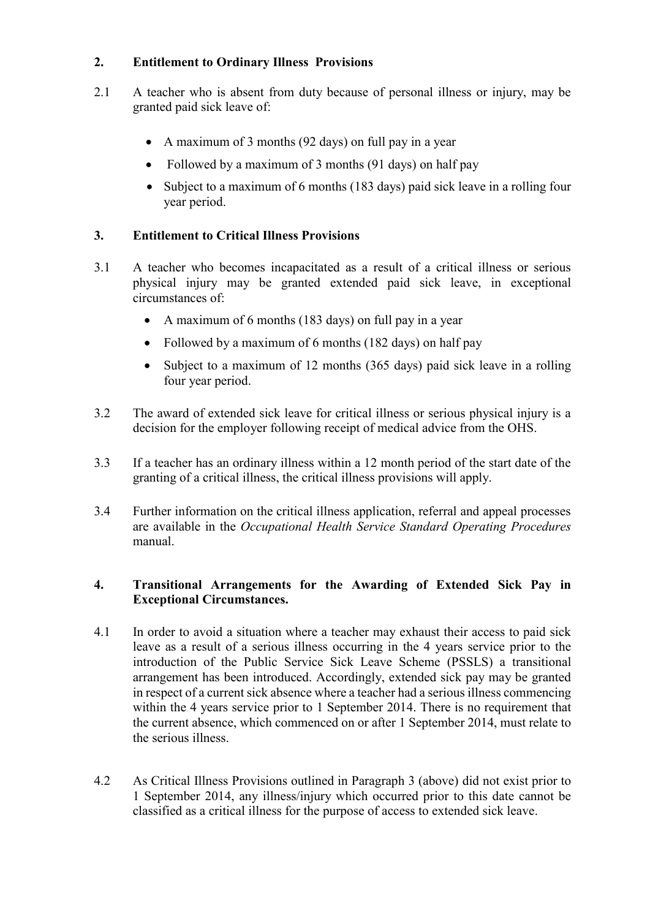## <span id="page-4-0"></span>**2. Entitlement to Ordinary Illness Provisions**

- 2.1 A teacher who is absent from duty because of personal illness or injury, may be granted paid sick leave of:
	- A maximum of 3 months (92 days) on full pay in a year
	- Followed by a maximum of 3 months (91 days) on half pay
	- Subject to a maximum of 6 months (183 days) paid sick leave in a rolling four year period.

# <span id="page-4-1"></span>**3. Entitlement to Critical Illness Provisions**

- 3.1 A teacher who becomes incapacitated as a result of a critical illness or serious physical injury may be granted extended paid sick leave, in exceptional circumstances of:
	- A maximum of 6 months (183 days) on full pay in a year
	- Followed by a maximum of 6 months (182 days) on half pay
	- Subject to a maximum of 12 months (365 days) paid sick leave in a rolling four year period.
- 3.2 The award of extended sick leave for critical illness or serious physical injury is a decision for the employer following receipt of medical advice from the OHS.
- 3.3 If a teacher has an ordinary illness within a 12 month period of the start date of the granting of a critical illness, the critical illness provisions will apply.
- 3.4 Further information on the critical illness application, referral and appeal processes are available in the *Occupational Health Service Standard Operating Procedures* manual.

## <span id="page-4-2"></span>**4. Transitional Arrangements for the Awarding of Extended Sick Pay in Exceptional Circumstances.**

- 4.1 In order to avoid a situation where a teacher may exhaust their access to paid sick leave as a result of a serious illness occurring in the 4 years service prior to the introduction of the Public Service Sick Leave Scheme (PSSLS) a transitional arrangement has been introduced. Accordingly, extended sick pay may be granted in respect of a current sick absence where a teacher had a serious illness commencing within the 4 years service prior to 1 September 2014. There is no requirement that the current absence, which commenced on or after 1 September 2014, must relate to the serious illness.
- 4.2 As Critical Illness Provisions outlined in Paragraph 3 (above) did not exist prior to 1 September 2014, any illness/injury which occurred prior to this date cannot be classified as a critical illness for the purpose of access to extended sick leave.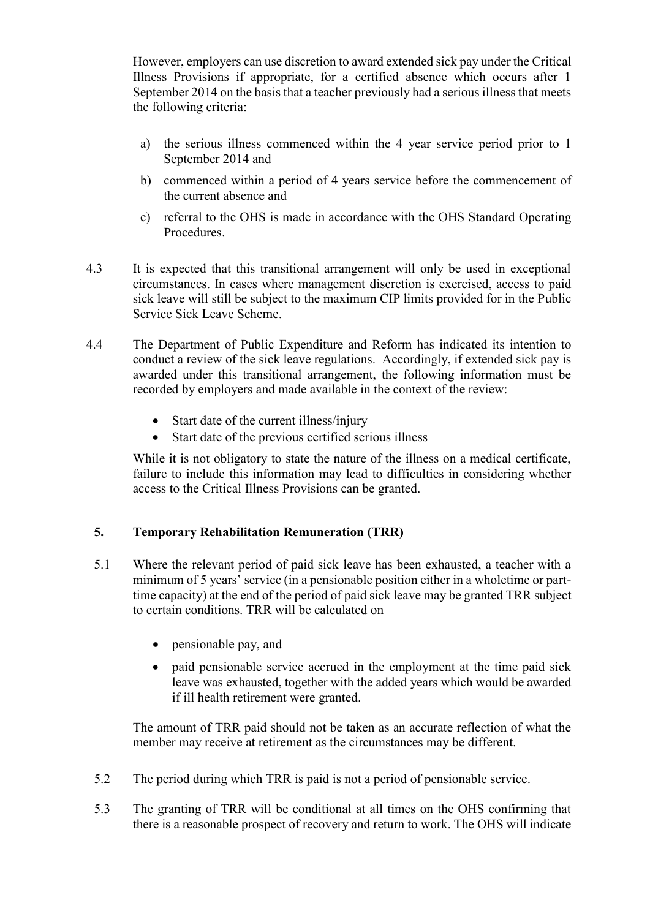However, employers can use discretion to award extended sick pay under the Critical Illness Provisions if appropriate, for a certified absence which occurs after 1 September 2014 on the basis that a teacher previously had a serious illness that meets the following criteria:

- a) the serious illness commenced within the 4 year service period prior to 1 September 2014 and
- b) commenced within a period of 4 years service before the commencement of the current absence and
- c) referral to the OHS is made in accordance with the OHS Standard Operating Procedures.
- 4.3 It is expected that this transitional arrangement will only be used in exceptional circumstances. In cases where management discretion is exercised, access to paid sick leave will still be subject to the maximum CIP limits provided for in the Public Service Sick Leave Scheme.
- 4.4 The Department of Public Expenditure and Reform has indicated its intention to conduct a review of the sick leave regulations. Accordingly, if extended sick pay is awarded under this transitional arrangement, the following information must be recorded by employers and made available in the context of the review:
	- Start date of the current illness/injury
	- Start date of the previous certified serious illness

While it is not obligatory to state the nature of the illness on a medical certificate, failure to include this information may lead to difficulties in considering whether access to the Critical Illness Provisions can be granted.

# <span id="page-5-0"></span>**5. Temporary Rehabilitation Remuneration (TRR)**

- 5.1 Where the relevant period of paid sick leave has been exhausted, a teacher with a minimum of 5 years' service (in a pensionable position either in a wholetime or parttime capacity) at the end of the period of paid sick leave may be granted TRR subject to certain conditions. TRR will be calculated on
	- pensionable pay, and
	- paid pensionable service accrued in the employment at the time paid sick leave was exhausted, together with the added years which would be awarded if ill health retirement were granted.

The amount of TRR paid should not be taken as an accurate reflection of what the member may receive at retirement as the circumstances may be different.

- 5.2 The period during which TRR is paid is not a period of pensionable service.
- 5.3 The granting of TRR will be conditional at all times on the OHS confirming that there is a reasonable prospect of recovery and return to work. The OHS will indicate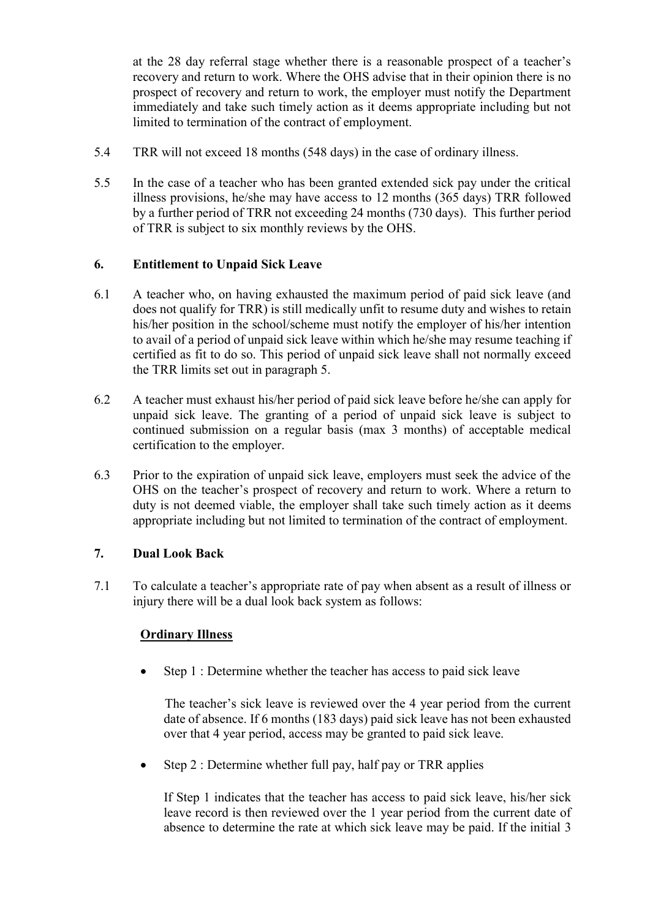at the 28 day referral stage whether there is a reasonable prospect of a teacher's recovery and return to work. Where the OHS advise that in their opinion there is no prospect of recovery and return to work, the employer must notify the Department immediately and take such timely action as it deems appropriate including but not limited to termination of the contract of employment.

- 5.4 TRR will not exceed 18 months (548 days) in the case of ordinary illness.
- 5.5 In the case of a teacher who has been granted extended sick pay under the critical illness provisions, he/she may have access to 12 months (365 days) TRR followed by a further period of TRR not exceeding 24 months (730 days). This further period of TRR is subject to six monthly reviews by the OHS.

## <span id="page-6-0"></span>**6. Entitlement to Unpaid Sick Leave**

- 6.1 A teacher who, on having exhausted the maximum period of paid sick leave (and does not qualify for TRR) is still medically unfit to resume duty and wishes to retain his/her position in the school/scheme must notify the employer of his/her intention to avail of a period of unpaid sick leave within which he/she may resume teaching if certified as fit to do so. This period of unpaid sick leave shall not normally exceed the TRR limits set out in paragraph 5.
- 6.2 A teacher must exhaust his/her period of paid sick leave before he/she can apply for unpaid sick leave. The granting of a period of unpaid sick leave is subject to continued submission on a regular basis (max 3 months) of acceptable medical certification to the employer.
- 6.3 Prior to the expiration of unpaid sick leave, employers must seek the advice of the OHS on the teacher's prospect of recovery and return to work. Where a return to duty is not deemed viable, the employer shall take such timely action as it deems appropriate including but not limited to termination of the contract of employment.

## <span id="page-6-1"></span>**7. Dual Look Back**

7.1 To calculate a teacher's appropriate rate of pay when absent as a result of illness or injury there will be a dual look back system as follows:

# **Ordinary Illness**

 $\bullet$  Step 1 : Determine whether the teacher has access to paid sick leave

The teacher's sick leave is reviewed over the 4 year period from the current date of absence. If 6 months (183 days) paid sick leave has not been exhausted over that 4 year period, access may be granted to paid sick leave.

 $\bullet$  Step 2 : Determine whether full pay, half pay or TRR applies

If Step 1 indicates that the teacher has access to paid sick leave, his/her sick leave record is then reviewed over the 1 year period from the current date of absence to determine the rate at which sick leave may be paid. If the initial 3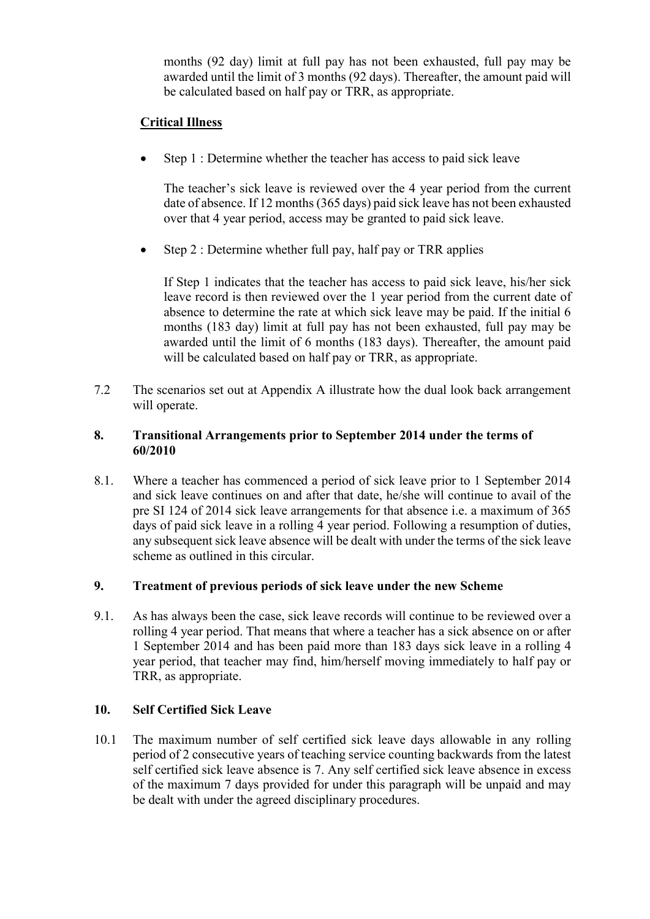months (92 day) limit at full pay has not been exhausted, full pay may be awarded until the limit of 3 months (92 days). Thereafter, the amount paid will be calculated based on half pay or TRR, as appropriate.

# **Critical Illness**

• Step 1 : Determine whether the teacher has access to paid sick leave

The teacher's sick leave is reviewed over the 4 year period from the current date of absence. If 12 months (365 days) paid sick leave has not been exhausted over that 4 year period, access may be granted to paid sick leave.

 $\bullet$  Step 2 : Determine whether full pay, half pay or TRR applies

If Step 1 indicates that the teacher has access to paid sick leave, his/her sick leave record is then reviewed over the 1 year period from the current date of absence to determine the rate at which sick leave may be paid. If the initial 6 months (183 day) limit at full pay has not been exhausted, full pay may be awarded until the limit of 6 months (183 days). Thereafter, the amount paid will be calculated based on half pay or TRR, as appropriate.

7.2 The scenarios set out at Appendix A illustrate how the dual look back arrangement will operate.

#### <span id="page-7-0"></span>**8. Transitional Arrangements prior to September 2014 under the terms of 60/2010**

8.1. Where a teacher has commenced a period of sick leave prior to 1 September 2014 and sick leave continues on and after that date, he/she will continue to avail of the pre SI 124 of 2014 sick leave arrangements for that absence i.e. a maximum of 365 days of paid sick leave in a rolling 4 year period. Following a resumption of duties, any subsequent sick leave absence will be dealt with under the terms of the sick leave scheme as outlined in this circular.

#### <span id="page-7-1"></span>**9. Treatment of previous periods of sick leave under the new Scheme**

9.1. As has always been the case, sick leave records will continue to be reviewed over a rolling 4 year period. That means that where a teacher has a sick absence on or after 1 September 2014 and has been paid more than 183 days sick leave in a rolling 4 year period, that teacher may find, him/herself moving immediately to half pay or TRR, as appropriate.

#### <span id="page-7-2"></span>**10. Self Certified Sick Leave**

10.1 The maximum number of self certified sick leave days allowable in any rolling period of 2 consecutive years of teaching service counting backwards from the latest self certified sick leave absence is 7. Any self certified sick leave absence in excess of the maximum 7 days provided for under this paragraph will be unpaid and may be dealt with under the agreed disciplinary procedures.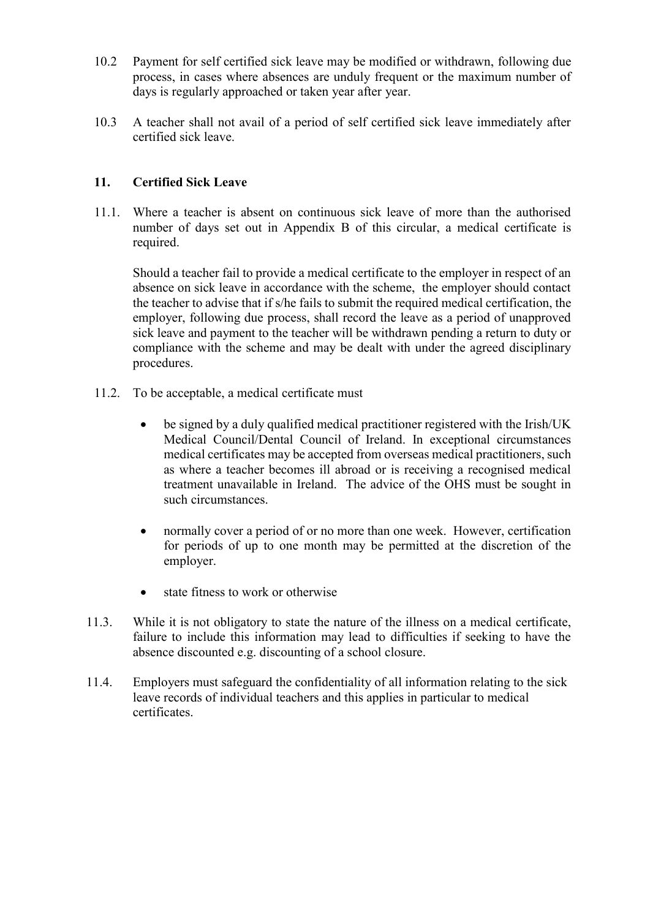- 10.2 Payment for self certified sick leave may be modified or withdrawn, following due process, in cases where absences are unduly frequent or the maximum number of days is regularly approached or taken year after year.
- 10.3 A teacher shall not avail of a period of self certified sick leave immediately after certified sick leave.

## <span id="page-8-0"></span>**11. Certified Sick Leave**

11.1. Where a teacher is absent on continuous sick leave of more than the authorised number of days set out in Appendix B of this circular, a medical certificate is required.

Should a teacher fail to provide a medical certificate to the employer in respect of an absence on sick leave in accordance with the scheme, the employer should contact the teacher to advise that if s/he fails to submit the required medical certification, the employer, following due process, shall record the leave as a period of unapproved sick leave and payment to the teacher will be withdrawn pending a return to duty or compliance with the scheme and may be dealt with under the agreed disciplinary procedures.

- 11.2. To be acceptable, a medical certificate must
	- be signed by a duly qualified medical practitioner registered with the Irish/UK Medical Council/Dental Council of Ireland. In exceptional circumstances medical certificates may be accepted from overseas medical practitioners, such as where a teacher becomes ill abroad or is receiving a recognised medical treatment unavailable in Ireland. The advice of the OHS must be sought in such circumstances.
	- normally cover a period of or no more than one week. However, certification for periods of up to one month may be permitted at the discretion of the employer.
	- state fitness to work or otherwise
- 11.3. While it is not obligatory to state the nature of the illness on a medical certificate, failure to include this information may lead to difficulties if seeking to have the absence discounted e.g. discounting of a school closure.
- 11.4. Employers must safeguard the confidentiality of all information relating to the sick leave records of individual teachers and this applies in particular to medical certificates.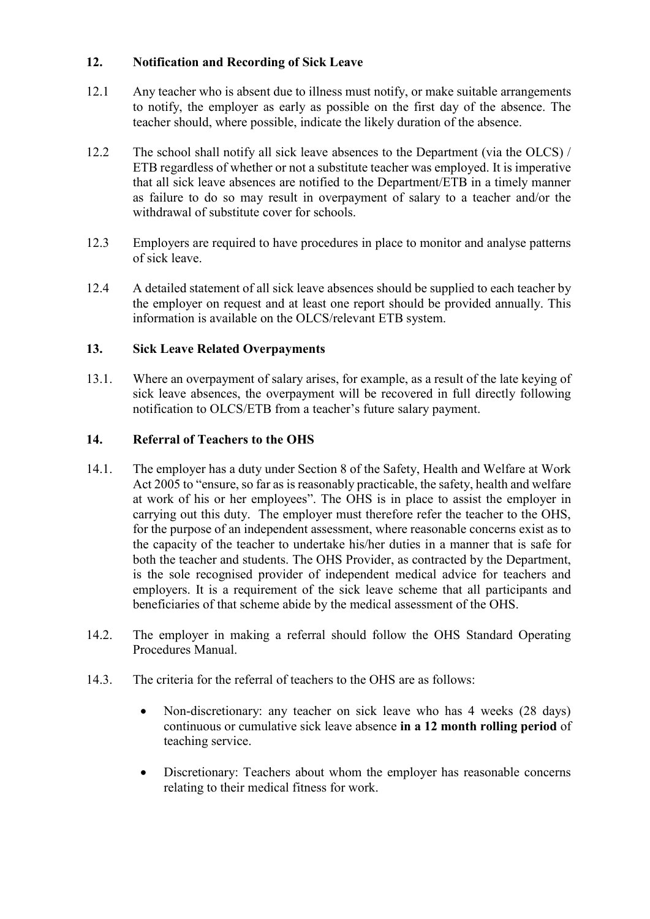## <span id="page-9-0"></span>**12. Notification and Recording of Sick Leave**

- 12.1 Any teacher who is absent due to illness must notify, or make suitable arrangements to notify, the employer as early as possible on the first day of the absence. The teacher should, where possible, indicate the likely duration of the absence.
- 12.2 The school shall notify all sick leave absences to the Department (via the OLCS) / ETB regardless of whether or not a substitute teacher was employed. It is imperative that all sick leave absences are notified to the Department/ETB in a timely manner as failure to do so may result in overpayment of salary to a teacher and/or the withdrawal of substitute cover for schools.
- 12.3 Employers are required to have procedures in place to monitor and analyse patterns of sick leave.
- 12.4 A detailed statement of all sick leave absences should be supplied to each teacher by the employer on request and at least one report should be provided annually. This information is available on the OLCS/relevant ETB system.

# <span id="page-9-1"></span>**13. Sick Leave Related Overpayments**

13.1. Where an overpayment of salary arises, for example, as a result of the late keying of sick leave absences, the overpayment will be recovered in full directly following notification to OLCS/ETB from a teacher's future salary payment.

## <span id="page-9-2"></span>**14. Referral of Teachers to the OHS**

- 14.1. The employer has a duty under Section 8 of the Safety, Health and Welfare at Work Act 2005 to "ensure, so far as is reasonably practicable, the safety, health and welfare at work of his or her employees". The OHS is in place to assist the employer in carrying out this duty. The employer must therefore refer the teacher to the OHS, for the purpose of an independent assessment, where reasonable concerns exist as to the capacity of the teacher to undertake his/her duties in a manner that is safe for both the teacher and students. The OHS Provider, as contracted by the Department, is the sole recognised provider of independent medical advice for teachers and employers. It is a requirement of the sick leave scheme that all participants and beneficiaries of that scheme abide by the medical assessment of the OHS.
- 14.2. The employer in making a referral should follow the OHS Standard Operating Procedures Manual.
- 14.3. The criteria for the referral of teachers to the OHS are as follows:
	- Non-discretionary: any teacher on sick leave who has 4 weeks (28 days) continuous or cumulative sick leave absence **in a 12 month rolling period** of teaching service.
	- Discretionary: Teachers about whom the employer has reasonable concerns relating to their medical fitness for work.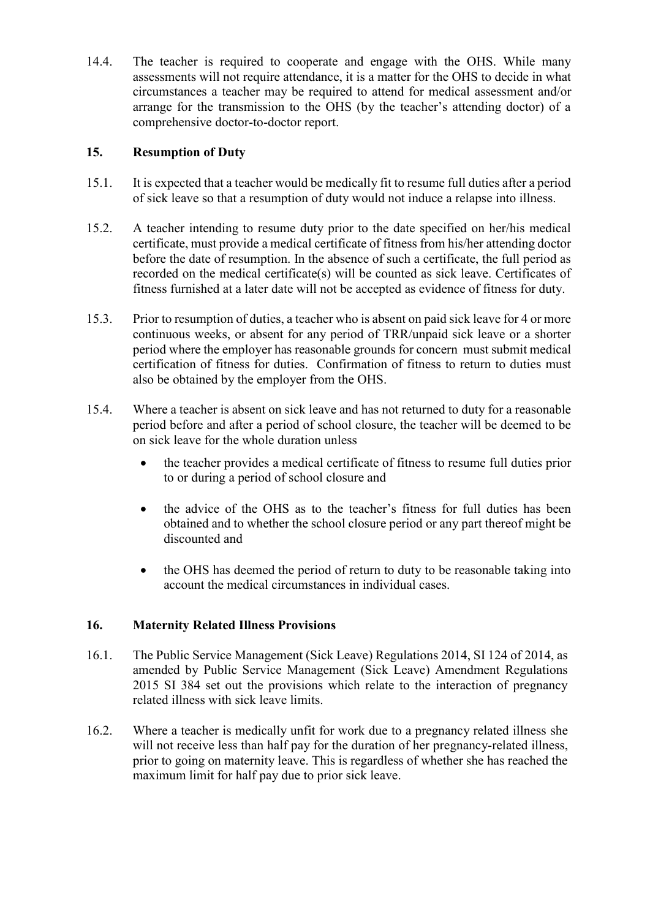14.4. The teacher is required to cooperate and engage with the OHS. While many assessments will not require attendance, it is a matter for the OHS to decide in what circumstances a teacher may be required to attend for medical assessment and/or arrange for the transmission to the OHS (by the teacher's attending doctor) of a comprehensive doctor-to-doctor report.

# <span id="page-10-0"></span>**15. Resumption of Duty**

- 15.1. It is expected that a teacher would be medically fit to resume full duties after a period of sick leave so that a resumption of duty would not induce a relapse into illness.
- 15.2. A teacher intending to resume duty prior to the date specified on her/his medical certificate, must provide a medical certificate of fitness from his/her attending doctor before the date of resumption. In the absence of such a certificate, the full period as recorded on the medical certificate(s) will be counted as sick leave. Certificates of fitness furnished at a later date will not be accepted as evidence of fitness for duty.
- 15.3. Prior to resumption of duties, a teacher who is absent on paid sick leave for 4 or more continuous weeks, or absent for any period of TRR/unpaid sick leave or a shorter period where the employer has reasonable grounds for concern must submit medical certification of fitness for duties. Confirmation of fitness to return to duties must also be obtained by the employer from the OHS.
- 15.4. Where a teacher is absent on sick leave and has not returned to duty for a reasonable period before and after a period of school closure, the teacher will be deemed to be on sick leave for the whole duration unless
	- the teacher provides a medical certificate of fitness to resume full duties prior to or during a period of school closure and
	- the advice of the OHS as to the teacher's fitness for full duties has been obtained and to whether the school closure period or any part thereof might be discounted and
	- the OHS has deemed the period of return to duty to be reasonable taking into account the medical circumstances in individual cases.

## <span id="page-10-1"></span>**16. Maternity Related Illness Provisions**

- 16.1. The Public Service Management (Sick Leave) Regulations 2014, SI 124 of 2014, as amended by Public Service Management (Sick Leave) Amendment Regulations 2015 SI 384 set out the provisions which relate to the interaction of pregnancy related illness with sick leave limits.
- 16.2. Where a teacher is medically unfit for work due to a pregnancy related illness she will not receive less than half pay for the duration of her pregnancy-related illness, prior to going on maternity leave. This is regardless of whether she has reached the maximum limit for half pay due to prior sick leave.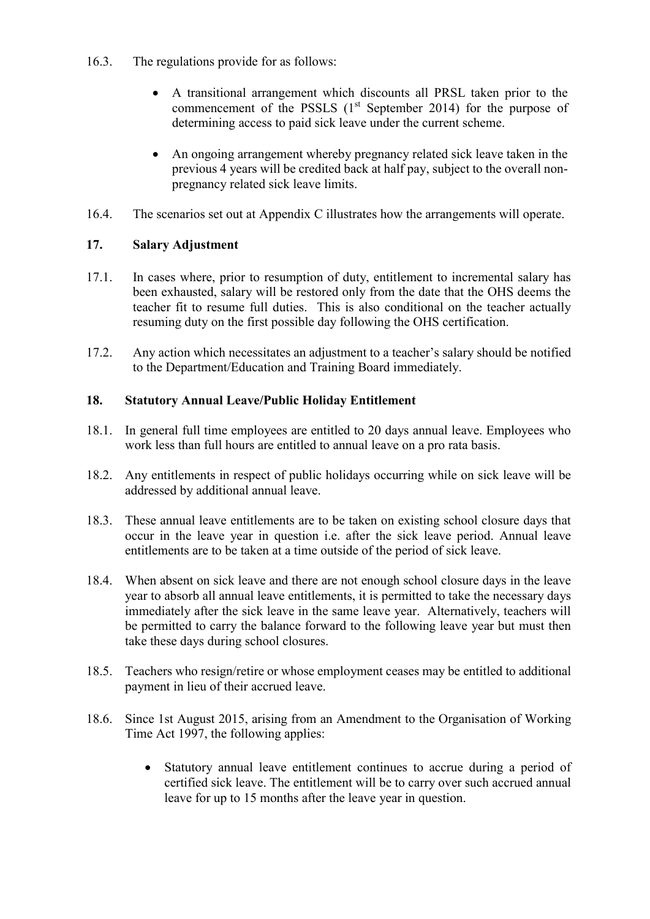- 16.3. The regulations provide for as follows:
	- A transitional arrangement which discounts all PRSL taken prior to the commencement of the PSSLS  $(1<sup>st</sup>$  September 2014) for the purpose of determining access to paid sick leave under the current scheme.
	- An ongoing arrangement whereby pregnancy related sick leave taken in the previous 4 years will be credited back at half pay, subject to the overall nonpregnancy related sick leave limits.
- 16.4. The scenarios set out at Appendix C illustrates how the arrangements will operate.

## <span id="page-11-0"></span>**17. Salary Adjustment**

- 17.1. In cases where, prior to resumption of duty, entitlement to incremental salary has been exhausted, salary will be restored only from the date that the OHS deems the teacher fit to resume full duties. This is also conditional on the teacher actually resuming duty on the first possible day following the OHS certification.
- 17.2. Any action which necessitates an adjustment to a teacher's salary should be notified to the Department/Education and Training Board immediately.

## <span id="page-11-1"></span>**18. Statutory Annual Leave/Public Holiday Entitlement**

- 18.1. In general full time employees are entitled to 20 days annual leave. Employees who work less than full hours are entitled to annual leave on a pro rata basis.
- 18.2. Any entitlements in respect of public holidays occurring while on sick leave will be addressed by additional annual leave.
- 18.3. These annual leave entitlements are to be taken on existing school closure days that occur in the leave year in question i.e. after the sick leave period. Annual leave entitlements are to be taken at a time outside of the period of sick leave.
- 18.4. When absent on sick leave and there are not enough school closure days in the leave year to absorb all annual leave entitlements, it is permitted to take the necessary days immediately after the sick leave in the same leave year. Alternatively, teachers will be permitted to carry the balance forward to the following leave year but must then take these days during school closures.
- 18.5. Teachers who resign/retire or whose employment ceases may be entitled to additional payment in lieu of their accrued leave.
- 18.6. Since 1st August 2015, arising from an Amendment to the Organisation of Working Time Act 1997, the following applies:
	- Statutory annual leave entitlement continues to accrue during a period of certified sick leave. The entitlement will be to carry over such accrued annual leave for up to 15 months after the leave year in question.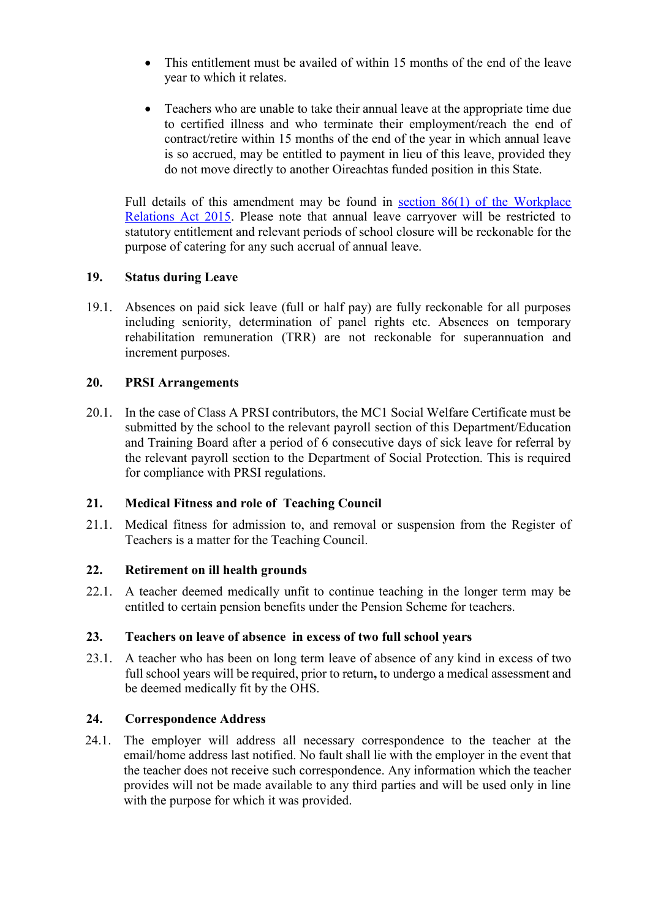- This entitlement must be availed of within 15 months of the end of the leave year to which it relates.
- Teachers who are unable to take their annual leave at the appropriate time due to certified illness and who terminate their employment/reach the end of contract/retire within 15 months of the end of the year in which annual leave is so accrued, may be entitled to payment in lieu of this leave, provided they do not move directly to another Oireachtas funded position in this State.

Full details of this amendment may be found in [section 86\(1\) of the Workplace](http://www.irishstatutebook.ie/2015/en/act/pub/0016/sec0086.html#sec86)  [Relations Act 2015.](http://www.irishstatutebook.ie/2015/en/act/pub/0016/sec0086.html#sec86) Please note that annual leave carryover will be restricted to statutory entitlement and relevant periods of school closure will be reckonable for the purpose of catering for any such accrual of annual leave.

## <span id="page-12-0"></span>**19. Status during Leave**

19.1. Absences on paid sick leave (full or half pay) are fully reckonable for all purposes including seniority, determination of panel rights etc. Absences on temporary rehabilitation remuneration (TRR) are not reckonable for superannuation and increment purposes.

#### <span id="page-12-1"></span>**20. PRSI Arrangements**

20.1. In the case of Class A PRSI contributors, the MC1 Social Welfare Certificate must be submitted by the school to the relevant payroll section of this Department/Education and Training Board after a period of 6 consecutive days of sick leave for referral by the relevant payroll section to the Department of Social Protection. This is required for compliance with PRSI regulations.

## <span id="page-12-2"></span>**21. Medical Fitness and role of Teaching Council**

21.1. Medical fitness for admission to, and removal or suspension from the Register of Teachers is a matter for the Teaching Council.

## <span id="page-12-3"></span>**22. Retirement on ill health grounds**

22.1. A teacher deemed medically unfit to continue teaching in the longer term may be entitled to certain pension benefits under the Pension Scheme for teachers.

## <span id="page-12-4"></span>**23. Teachers on leave of absence in excess of two full school years**

23.1. A teacher who has been on long term leave of absence of any kind in excess of two full school years will be required, prior to return**,** to undergo a medical assessment and be deemed medically fit by the OHS.

## <span id="page-12-5"></span>**24. Correspondence Address**

24.1. The employer will address all necessary correspondence to the teacher at the email/home address last notified. No fault shall lie with the employer in the event that the teacher does not receive such correspondence. Any information which the teacher provides will not be made available to any third parties and will be used only in line with the purpose for which it was provided.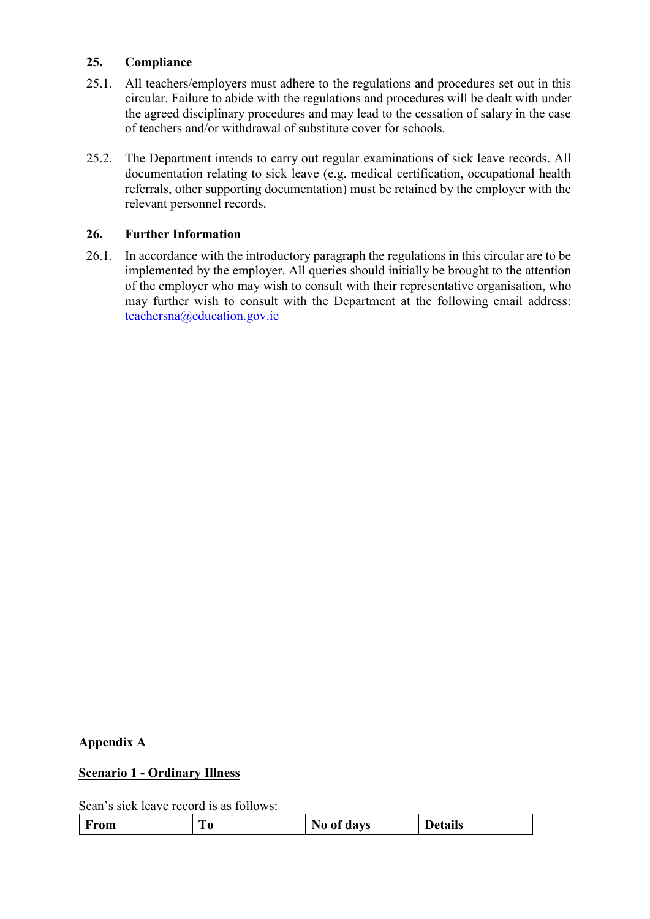### <span id="page-13-0"></span>**25. Compliance**

- 25.1. All teachers/employers must adhere to the regulations and procedures set out in this circular. Failure to abide with the regulations and procedures will be dealt with under the agreed disciplinary procedures and may lead to the cessation of salary in the case of teachers and/or withdrawal of substitute cover for schools.
- 25.2. The Department intends to carry out regular examinations of sick leave records. All documentation relating to sick leave (e.g. medical certification, occupational health referrals, other supporting documentation) must be retained by the employer with the relevant personnel records.

#### <span id="page-13-1"></span>**26. Further Information**

26.1. In accordance with the introductory paragraph the regulations in this circular are to be implemented by the employer. All queries should initially be brought to the attention of the employer who may wish to consult with their representative organisation, who may further wish to consult with the Department at the following email address: [teachersna@education.gov.ie](mailto:teachersna@education.gov.ie)

#### <span id="page-13-2"></span>**Appendix A**

#### **Scenario 1 - Ordinary Illness**

Sean's sick leave record is as follows:

|--|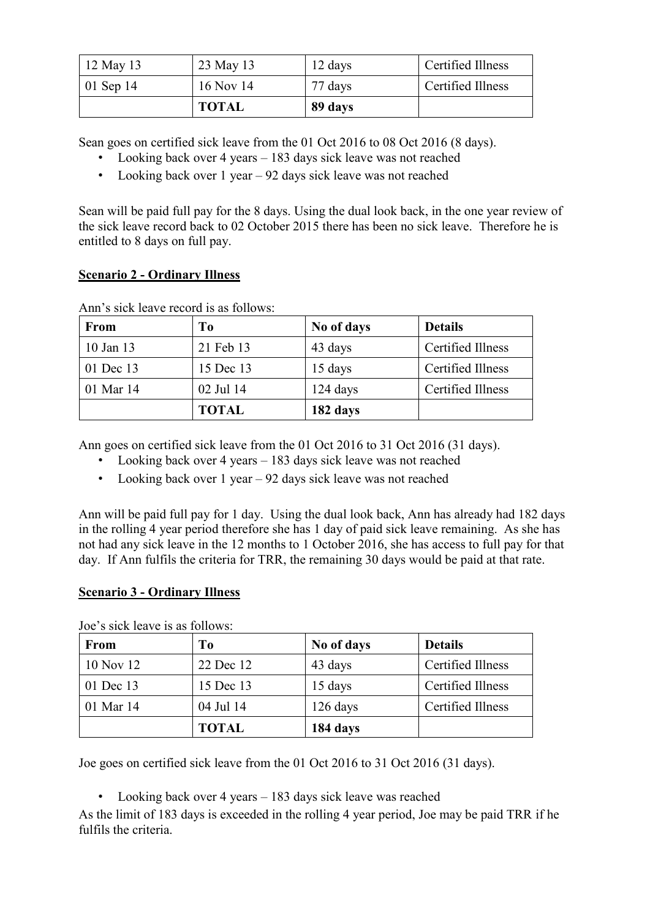| $12$ May 13       | 23 May 13    | 12 days | Certified Illness |
|-------------------|--------------|---------|-------------------|
| $\vert$ 01 Sep 14 | 16 Nov 14    | 77 days | Certified Illness |
|                   | <b>TOTAL</b> | 89 days |                   |

Sean goes on certified sick leave from the 01 Oct 2016 to 08 Oct 2016 (8 days).

- Looking back over 4 years 183 days sick leave was not reached
- Looking back over 1 year 92 days sick leave was not reached

Sean will be paid full pay for the 8 days. Using the dual look back, in the one year review of the sick leave record back to 02 October 2015 there has been no sick leave. Therefore he is entitled to 8 days on full pay.

#### **Scenario 2 - Ordinary Illness**

| <b>From</b>   | T <sub>0</sub> | No of days | <b>Details</b>    |
|---------------|----------------|------------|-------------------|
| $10$ Jan $13$ | 21 Feb 13      | 43 days    | Certified Illness |
| 01 Dec 13     | 15 Dec 13      | 15 days    | Certified Illness |
| 01 Mar 14     | 02 Jul 14      | $124$ days | Certified Illness |
|               | <b>TOTAL</b>   | 182 days   |                   |

Ann's sick leave record is as follows:

Ann goes on certified sick leave from the 01 Oct 2016 to 31 Oct 2016 (31 days).

- Looking back over 4 years 183 days sick leave was not reached
- Looking back over 1 year  $-92$  days sick leave was not reached

Ann will be paid full pay for 1 day. Using the dual look back, Ann has already had 182 days in the rolling 4 year period therefore she has 1 day of paid sick leave remaining. As she has not had any sick leave in the 12 months to 1 October 2016, she has access to full pay for that day. If Ann fulfils the criteria for TRR, the remaining 30 days would be paid at that rate.

## **Scenario 3 - Ordinary Illness**

| <b>From</b> | T <sub>0</sub> | No of days | <b>Details</b>    |
|-------------|----------------|------------|-------------------|
| 10 Nov 12   | 22 Dec 12      | 43 days    | Certified Illness |
| 01 Dec 13   | 15 Dec 13      | 15 days    | Certified Illness |
| 01 Mar 14   | 04 Jul 14      | $126$ days | Certified Illness |
|             | <b>TOTAL</b>   | 184 days   |                   |

Joe's sick leave is as follows:

Joe goes on certified sick leave from the 01 Oct 2016 to 31 Oct 2016 (31 days).

• Looking back over 4 years – 183 days sick leave was reached

As the limit of 183 days is exceeded in the rolling 4 year period, Joe may be paid TRR if he fulfils the criteria.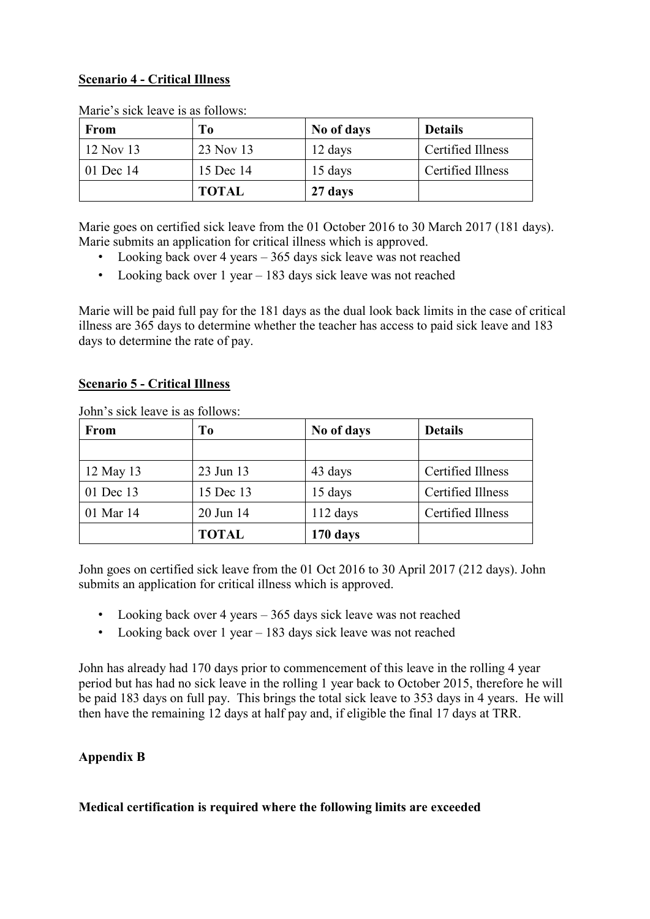# **Scenario 4 - Critical Illness**

| <b>From</b> | T <sub>o</sub> | No of days | <b>Details</b>    |
|-------------|----------------|------------|-------------------|
| 12 Nov 13   | 23 Nov 13      | 12 days    | Certified Illness |
| 01 Dec 14   | 15 Dec 14      | 15 days    | Certified Illness |
|             | <b>TOTAL</b>   | 27 days    |                   |

Marie's sick leave is as follows:

Marie goes on certified sick leave from the 01 October 2016 to 30 March 2017 (181 days). Marie submits an application for critical illness which is approved.

- Looking back over 4 years 365 days sick leave was not reached
- Looking back over 1 year 183 days sick leave was not reached

Marie will be paid full pay for the 181 days as the dual look back limits in the case of critical illness are 365 days to determine whether the teacher has access to paid sick leave and 183 days to determine the rate of pay.

## **Scenario 5 - Critical Illness**

| From      | Tо           | No of days | <b>Details</b>    |
|-----------|--------------|------------|-------------------|
|           |              |            |                   |
| 12 May 13 | 23 Jun 13    | 43 days    | Certified Illness |
| 01 Dec 13 | 15 Dec 13    | 15 days    | Certified Illness |
| 01 Mar 14 | 20 Jun 14    | $112$ days | Certified Illness |
|           | <b>TOTAL</b> | 170 days   |                   |

John's sick leave is as follows:

John goes on certified sick leave from the 01 Oct 2016 to 30 April 2017 (212 days). John submits an application for critical illness which is approved.

- Looking back over 4 years 365 days sick leave was not reached
- Looking back over 1 year 183 days sick leave was not reached

John has already had 170 days prior to commencement of this leave in the rolling 4 year period but has had no sick leave in the rolling 1 year back to October 2015, therefore he will be paid 183 days on full pay. This brings the total sick leave to 353 days in 4 years. He will then have the remaining 12 days at half pay and, if eligible the final 17 days at TRR.

# <span id="page-15-0"></span>**Appendix B**

## **Medical certification is required where the following limits are exceeded**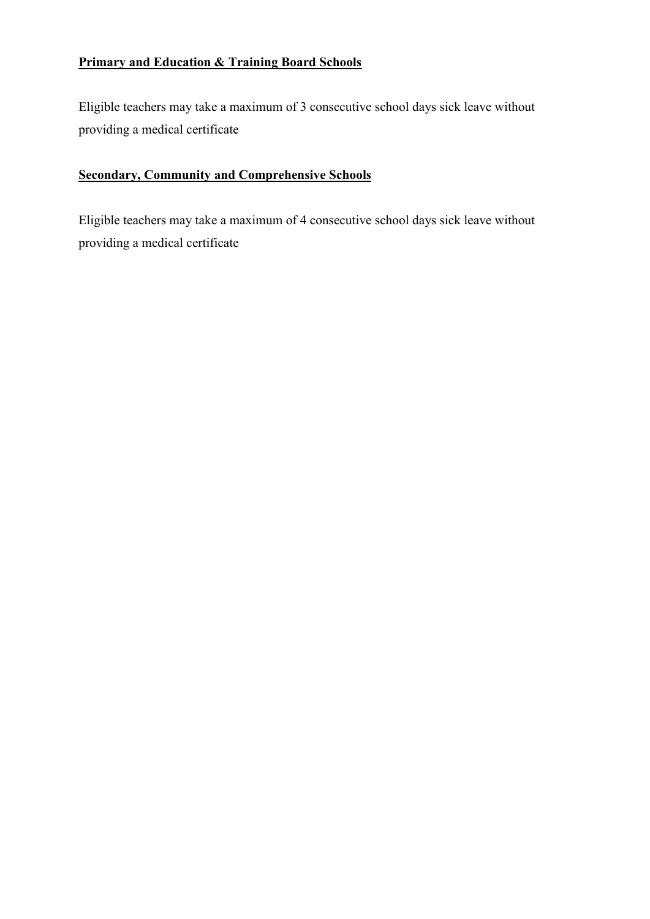# **Primary and Education & Training Board Schools**

Eligible teachers may take a maximum of 3 consecutive school days sick leave without providing a medical certificate

# **Secondary, Community and Comprehensive Schools**

Eligible teachers may take a maximum of 4 consecutive school days sick leave without providing a medical certificate